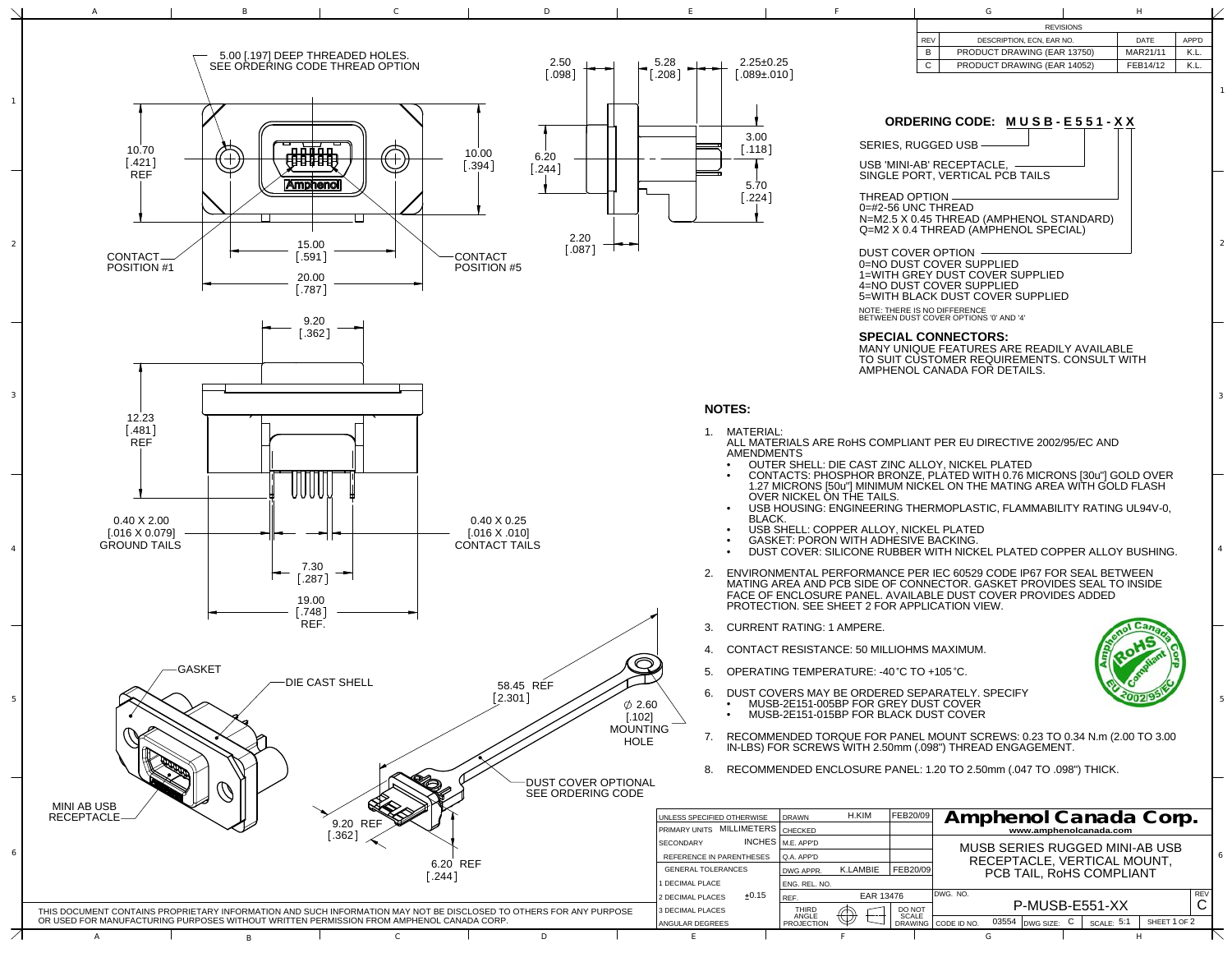